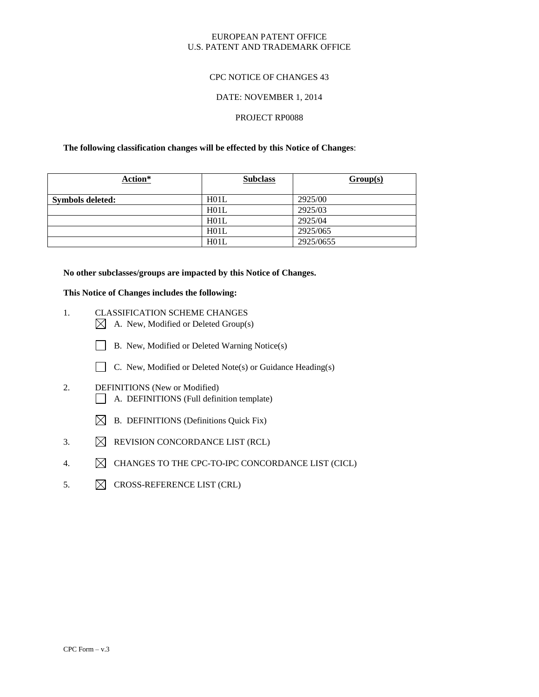### EUROPEAN PATENT OFFICE U.S. PATENT AND TRADEMARK OFFICE

### CPC NOTICE OF CHANGES 43

#### DATE: NOVEMBER 1, 2014

#### PROJECT RP0088

#### **The following classification changes will be effected by this Notice of Changes**:

| Action*                 | <b>Subclass</b> | Group(s)  |
|-------------------------|-----------------|-----------|
| <b>Symbols deleted:</b> | H01L            | 2925/00   |
|                         | H01L            | 2925/03   |
|                         | H01L            | 2925/04   |
|                         | H01L            | 2925/065  |
|                         | H01L            | 2925/0655 |

#### **No other subclasses/groups are impacted by this Notice of Changes.**

### **This Notice of Changes includes the following:**

- 1. CLASSIFICATION SCHEME CHANGES  $\boxtimes$  A. New, Modified or Deleted Group(s)
	- B. New, Modified or Deleted Warning Notice(s)
	- C. New, Modified or Deleted Note(s) or Guidance Heading(s)
- 2. DEFINITIONS (New or Modified) A. DEFINITIONS (Full definition template)
	- $\boxtimes$  B. DEFINITIONS (Definitions Quick Fix)
- 3.  $\boxtimes$  REVISION CONCORDANCE LIST (RCL)
- 4.  $\boxtimes$  CHANGES TO THE CPC-TO-IPC CONCORDANCE LIST (CICL)
- 5.  $\boxtimes$  CROSS-REFERENCE LIST (CRL)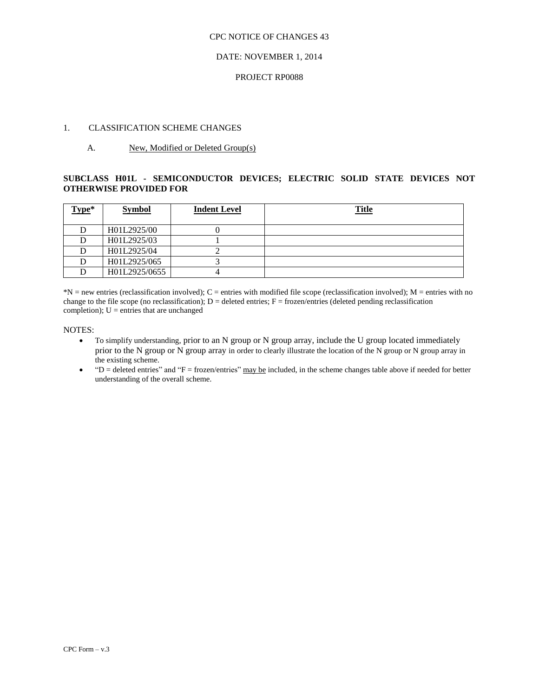### DATE: NOVEMBER 1, 2014

#### PROJECT RP0088

### 1. CLASSIFICATION SCHEME CHANGES

#### A. New, Modified or Deleted Group(s)

### **SUBCLASS H01L - SEMICONDUCTOR DEVICES; ELECTRIC SOLID STATE DEVICES NOT OTHERWISE PROVIDED FOR**

| Type* | <b>Symbol</b> | <b>Indent Level</b> | <u>Title</u> |
|-------|---------------|---------------------|--------------|
|       |               |                     |              |
|       | H01L2925/00   |                     |              |
|       | H01L2925/03   |                     |              |
|       | H01L2925/04   |                     |              |
|       | H01L2925/065  |                     |              |
|       | H01L2925/0655 |                     |              |

 $N = new$  entries (reclassification involved); C = entries with modified file scope (reclassification involved); M = entries with no change to the file scope (no reclassification);  $D =$  deleted entries;  $F =$  frozen/entries (deleted pending reclassification) completion);  $U =$  entries that are unchanged

#### NOTES:

- To simplify understanding, prior to an N group or N group array, include the U group located immediately prior to the N group or N group array in order to clearly illustrate the location of the N group or N group array in the existing scheme.
- $P =$  deleted entries" and "F = frozen/entries" may be included, in the scheme changes table above if needed for better understanding of the overall scheme.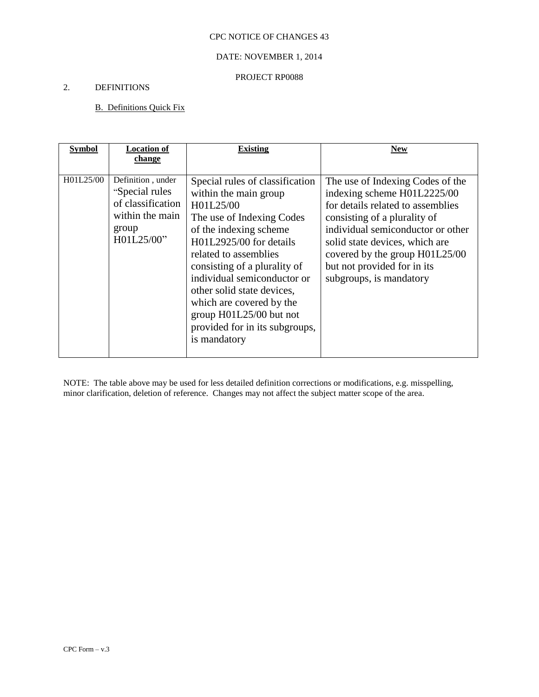## DATE: NOVEMBER 1, 2014

### PROJECT RP0088

## 2. DEFINITIONS

## B. Definitions Quick Fix

| <b>Symbol</b> | <b>Location of</b>                                                                                  | <b>Existing</b>                                                                                                                                                                                                                                                                                                                                                                        | <b>New</b>                                                                                                                                                                                                                                                                                              |
|---------------|-----------------------------------------------------------------------------------------------------|----------------------------------------------------------------------------------------------------------------------------------------------------------------------------------------------------------------------------------------------------------------------------------------------------------------------------------------------------------------------------------------|---------------------------------------------------------------------------------------------------------------------------------------------------------------------------------------------------------------------------------------------------------------------------------------------------------|
|               | change                                                                                              |                                                                                                                                                                                                                                                                                                                                                                                        |                                                                                                                                                                                                                                                                                                         |
| H01L25/00     | Definition, under<br>"Special rules"<br>of classification<br>within the main<br>group<br>H01L25/00" | Special rules of classification<br>within the main group<br>H01L25/00<br>The use of Indexing Codes<br>of the indexing scheme<br>H01L2925/00 for details<br>related to assemblies<br>consisting of a plurality of<br>individual semiconductor or<br>other solid state devices,<br>which are covered by the<br>group H01L25/00 but not<br>provided for in its subgroups,<br>is mandatory | The use of Indexing Codes of the<br>indexing scheme H01L2225/00<br>for details related to assemblies<br>consisting of a plurality of<br>individual semiconductor or other<br>solid state devices, which are<br>covered by the group H01L25/00<br>but not provided for in its<br>subgroups, is mandatory |

NOTE: The table above may be used for less detailed definition corrections or modifications, e.g. misspelling, minor clarification, deletion of reference. Changes may not affect the subject matter scope of the area.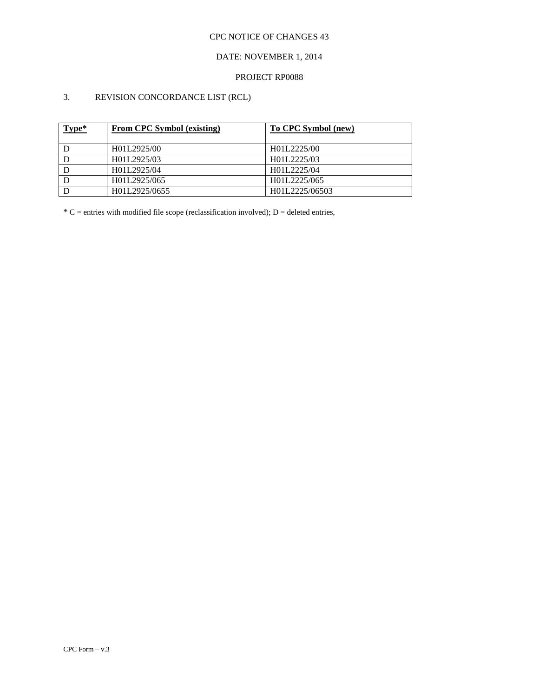## DATE: NOVEMBER 1, 2014

### PROJECT RP0088

## 3. REVISION CONCORDANCE LIST (RCL)

| Type* | <b>From CPC Symbol (existing)</b> | To CPC Symbol (new) |
|-------|-----------------------------------|---------------------|
|       | H01L2925/00                       | H01L2225/00         |
|       | H01L2925/03                       | H01L2225/03         |
|       | H01L2925/04                       | H01L2225/04         |
|       | H01L2925/065                      | H01L2225/065        |
|       | H01L2925/0655                     | H01L2225/06503      |

 $*C$  = entries with modified file scope (reclassification involved); D = deleted entries,